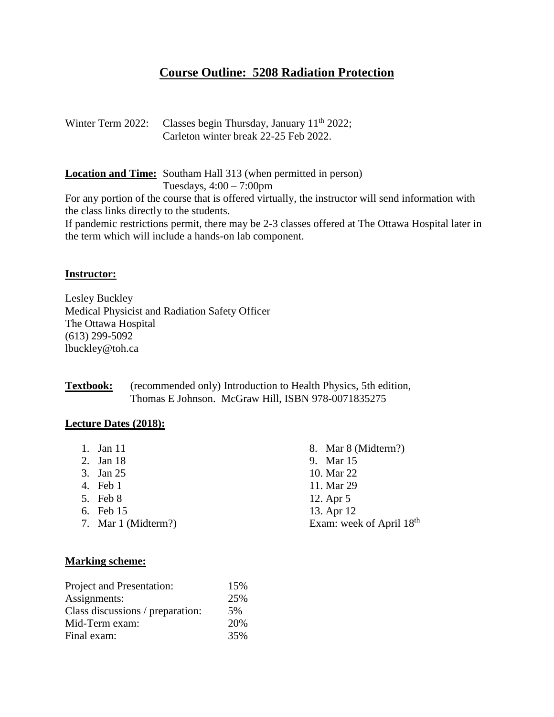# **Course Outline: 5208 Radiation Protection**

| Winter Term 2022: Classes begin Thursday, January $11th$ 2022; |
|----------------------------------------------------------------|
| Carleton winter break 22-25 Feb 2022.                          |

**Location and Time:** Southam Hall 313 (when permitted in person) Tuesdays, 4:00 – 7:00pm

For any portion of the course that is offered virtually, the instructor will send information with the class links directly to the students.

If pandemic restrictions permit, there may be 2-3 classes offered at The Ottawa Hospital later in the term which will include a hands-on lab component.

#### **Instructor:**

Lesley Buckley Medical Physicist and Radiation Safety Officer The Ottawa Hospital (613) 299-5092 lbuckley@toh.ca

**Textbook:** (recommended only) Introduction to Health Physics, 5th edition, Thomas E Johnson. McGraw Hill, ISBN 978-0071835275

#### **Lecture Dates (2018):**

- 1. Jan 11
- 2. Jan 18
- 3. Jan 25
- 4. Feb 1
- 5. Feb 8
- 6. Feb 15
- 7. Mar 1 (Midterm?)

8. Mar 8 (Midterm?) 9. Mar 15 10. Mar 22 11. Mar 29 12. Apr 5 13. Apr 12 Exam: week of April 18<sup>th</sup>

#### **Marking scheme:**

| Project and Presentation:        | 15% |
|----------------------------------|-----|
| Assignments:                     | 25% |
| Class discussions / preparation: | 5%  |
| Mid-Term exam:                   | 20% |
| Final exam:                      | 35% |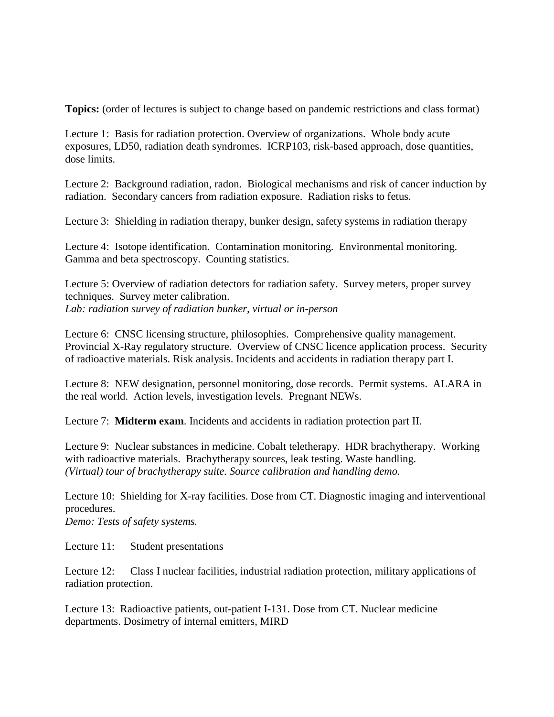# **Topics:** (order of lectures is subject to change based on pandemic restrictions and class format)

Lecture 1: Basis for radiation protection. Overview of organizations. Whole body acute exposures, LD50, radiation death syndromes. ICRP103, risk-based approach, dose quantities, dose limits.

Lecture 2: Background radiation, radon. Biological mechanisms and risk of cancer induction by radiation. Secondary cancers from radiation exposure. Radiation risks to fetus.

Lecture 3: Shielding in radiation therapy, bunker design, safety systems in radiation therapy

Lecture 4: Isotope identification. Contamination monitoring. Environmental monitoring. Gamma and beta spectroscopy. Counting statistics.

Lecture 5: Overview of radiation detectors for radiation safety. Survey meters, proper survey techniques. Survey meter calibration. *Lab: radiation survey of radiation bunker, virtual or in-person*

Lecture 6: CNSC licensing structure, philosophies. Comprehensive quality management. Provincial X-Ray regulatory structure. Overview of CNSC licence application process. Security of radioactive materials. Risk analysis. Incidents and accidents in radiation therapy part I.

Lecture 8: NEW designation, personnel monitoring, dose records. Permit systems. ALARA in the real world. Action levels, investigation levels. Pregnant NEWs.

Lecture 7: **Midterm exam**. Incidents and accidents in radiation protection part II.

Lecture 9: Nuclear substances in medicine. Cobalt teletherapy. HDR brachytherapy. Working with radioactive materials. Brachytherapy sources, leak testing. Waste handling. *(Virtual) tour of brachytherapy suite. Source calibration and handling demo.*

Lecture 10: Shielding for X-ray facilities. Dose from CT. Diagnostic imaging and interventional procedures. *Demo: Tests of safety systems.* 

Lecture 11: Student presentations

Lecture 12: Class I nuclear facilities, industrial radiation protection, military applications of radiation protection.

Lecture 13: Radioactive patients, out-patient I-131. Dose from CT. Nuclear medicine departments. Dosimetry of internal emitters, MIRD